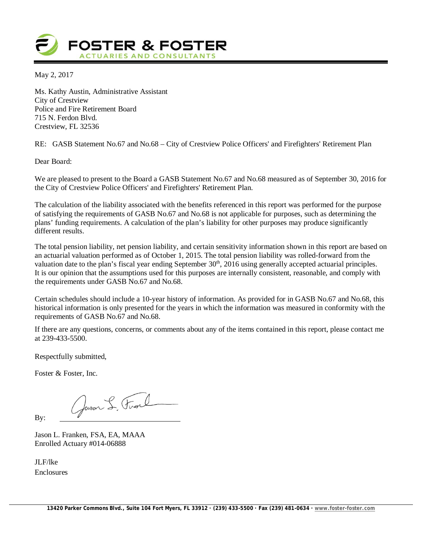

May 2, 2017

Ms. Kathy Austin, Administrative Assistant City of Crestview Police and Fire Retirement Board 715 N. Ferdon Blvd. Crestview, FL 32536

RE: GASB Statement No.67 and No.68 – City of Crestview Police Officers' and Firefighters' Retirement Plan

Dear Board:

We are pleased to present to the Board a GASB Statement No.67 and No.68 measured as of September 30, 2016 for the City of Crestview Police Officers' and Firefighters' Retirement Plan.

The calculation of the liability associated with the benefits referenced in this report was performed for the purpose of satisfying the requirements of GASB No.67 and No.68 is not applicable for purposes, such as determining the plans' funding requirements. A calculation of the plan's liability for other purposes may produce significantly different results.

The total pension liability, net pension liability, and certain sensitivity information shown in this report are based on an actuarial valuation performed as of October 1, 2015. The total pension liability was rolled-forward from the valuation date to the plan's fiscal year ending September 30<sup>th</sup>, 2016 using generally accepted actuarial principles. It is our opinion that the assumptions used for this purposes are internally consistent, reasonable, and comply with the requirements under GASB No.67 and No.68.

Certain schedules should include a 10-year history of information. As provided for in GASB No.67 and No.68, this historical information is only presented for the years in which the information was measured in conformity with the requirements of GASB No.67 and No.68.

If there are any questions, concerns, or comments about any of the items contained in this report, please contact me at 239-433-5500.

Respectfully submitted,

Foster & Foster, Inc.

Gason S. Front

By:

Jason L. Franken, FSA, EA, MAAA Enrolled Actuary #014-06888

JLF/lke Enclosures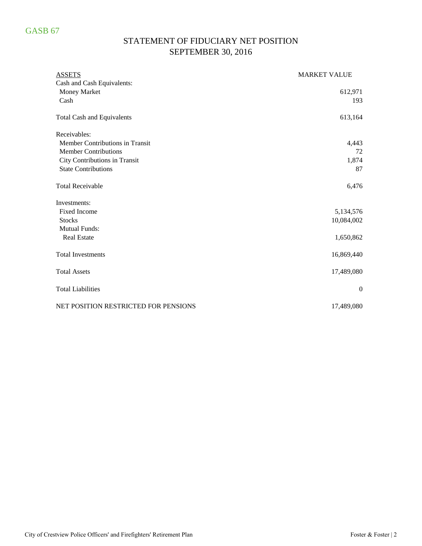# GASB 67

# STATEMENT OF FIDUCIARY NET POSITION SEPTEMBER 30, 2016

| <b>ASSETS</b>                        | <b>MARKET VALUE</b> |
|--------------------------------------|---------------------|
| Cash and Cash Equivalents:           |                     |
| Money Market                         | 612,971             |
| Cash                                 | 193                 |
| <b>Total Cash and Equivalents</b>    | 613,164             |
| Receivables:                         |                     |
| Member Contributions in Transit      | 4,443               |
| <b>Member Contributions</b>          | 72                  |
| City Contributions in Transit        | 1,874               |
| <b>State Contributions</b>           | 87                  |
| <b>Total Receivable</b>              | 6,476               |
| Investments:                         |                     |
| <b>Fixed Income</b>                  | 5,134,576           |
| <b>Stocks</b>                        | 10,084,002          |
| <b>Mutual Funds:</b>                 |                     |
| <b>Real Estate</b>                   | 1,650,862           |
| <b>Total Investments</b>             | 16,869,440          |
| <b>Total Assets</b>                  | 17,489,080          |
| <b>Total Liabilities</b>             | $\overline{0}$      |
| NET POSITION RESTRICTED FOR PENSIONS | 17,489,080          |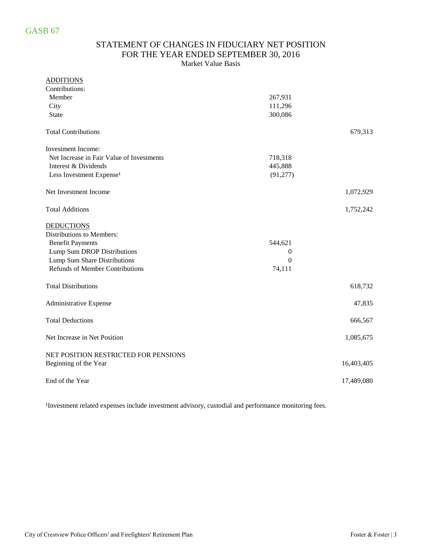### STATEMENT OF CHANGES IN FIDUCIARY NET POSITION FOR THE YEAR ENDED SEPTEMBER 30, 2016 Market Value Basis

#### ADDITIONS

| Contributions:                            |           |            |
|-------------------------------------------|-----------|------------|
| Member                                    | 267,931   |            |
| City                                      | 111,296   |            |
| State                                     | 300,086   |            |
| <b>Total Contributions</b>                |           | 679,313    |
| <b>Investment Income:</b>                 |           |            |
| Net Increase in Fair Value of Investments | 718,318   |            |
| Interest & Dividends                      | 445,888   |            |
| Less Investment Expense <sup>1</sup>      | (91, 277) |            |
| Net Investment Income                     |           | 1,072,929  |
| <b>Total Additions</b>                    |           | 1,752,242  |
| <b>DEDUCTIONS</b>                         |           |            |
| Distributions to Members:                 |           |            |
| <b>Benefit Payments</b>                   | 544,621   |            |
| Lump Sum DROP Distributions               | 0         |            |
| Lump Sum Share Distributions              | $\theta$  |            |
| Refunds of Member Contributions           | 74,111    |            |
| <b>Total Distributions</b>                |           | 618,732    |
| Administrative Expense                    |           | 47,835     |
| <b>Total Deductions</b>                   |           | 666,567    |
| Net Increase in Net Position              |           | 1,085,675  |
| NET POSITION RESTRICTED FOR PENSIONS      |           |            |
| Beginning of the Year                     |           | 16,403,405 |
| End of the Year                           |           | 17,489,080 |

<sup>1</sup>Investment related expenses include investment advisory, custodial and performance monitoring fees.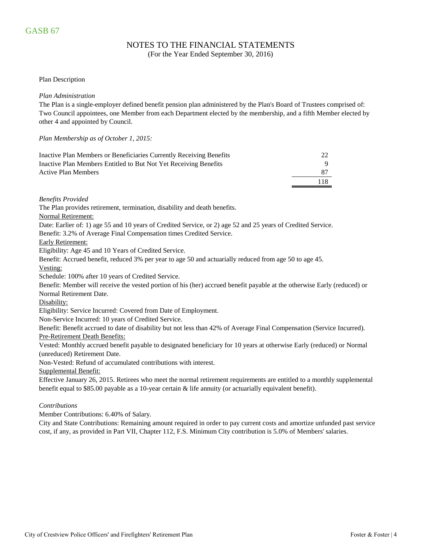## NOTES TO THE FINANCIAL STATEMENTS

(For the Year Ended September 30, 2016)

#### Plan Description

#### *Plan Administration*

The Plan is a single-employer defined benefit pension plan administered by the Plan's Board of Trustees comprised of: Two Council appointees, one Member from each Department elected by the membership, and a fifth Member elected by other 4 and appointed by Council.

#### *Plan Membership as of October 1, 2015:*

| Inactive Plan Members or Beneficiaries Currently Receiving Benefits |     |
|---------------------------------------------------------------------|-----|
| Inactive Plan Members Entitled to But Not Yet Receiving Benefits    |     |
| <b>Active Plan Members</b>                                          |     |
|                                                                     | 118 |

*Benefits Provided*

The Plan provides retirement, termination, disability and death benefits.

#### Normal Retirement:

Date: Earlier of: 1) age 55 and 10 years of Credited Service, or 2) age 52 and 25 years of Credited Service.

Benefit: 3.2% of Average Final Compensation times Credited Service.

#### Early Retirement:

Eligibility: Age 45 and 10 Years of Credited Service.

Benefit: Accrued benefit, reduced 3% per year to age 50 and actuarially reduced from age 50 to age 45.

Vesting:

Schedule: 100% after 10 years of Credited Service.

Benefit: Member will receive the vested portion of his (her) accrued benefit payable at the otherwise Early (reduced) or Normal Retirement Date.

#### Disability:

Eligibility: Service Incurred: Covered from Date of Employment.

Non-Service Incurred: 10 years of Credited Service.

Pre-Retirement Death Benefits: Benefit: Benefit accrued to date of disability but not less than 42% of Average Final Compensation (Service Incurred).

Vested: Monthly accrued benefit payable to designated beneficiary for 10 years at otherwise Early (reduced) or Normal (unreduced) Retirement Date.

Non-Vested: Refund of accumulated contributions with interest.

Supplemental Benefit:

Effective January 26, 2015. Retirees who meet the normal retirement requirements are entitled to a monthly supplemental benefit equal to \$85.00 payable as a 10-year certain & life annuity (or actuarially equivalent benefit).

#### *Contributions*

Member Contributions: 6.40% of Salary.

City and State Contributions: Remaining amount required in order to pay current costs and amortize unfunded past service cost, if any, as provided in Part VII, Chapter 112, F.S. Minimum City contribution is 5.0% of Members' salaries.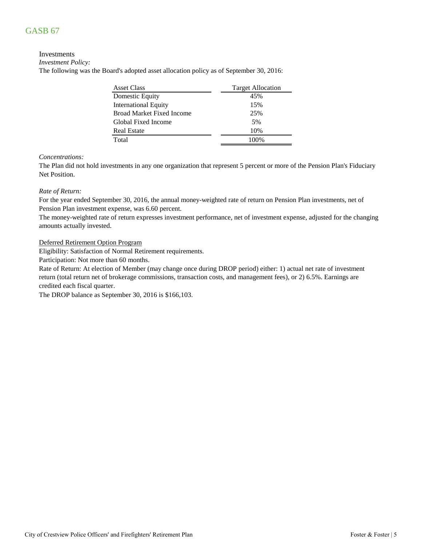# GASB 67

#### Investments

*Investment Policy:*

The following was the Board's adopted asset allocation policy as of September 30, 2016:

| Asset Class                      | <b>Target Allocation</b> |
|----------------------------------|--------------------------|
| Domestic Equity                  | 45%                      |
| <b>International Equity</b>      | 15%                      |
| <b>Broad Market Fixed Income</b> | 25%                      |
| Global Fixed Income              | 5%                       |
| <b>Real Estate</b>               | 10%                      |
| Total                            | 100%                     |

#### *Concentrations:*

The Plan did not hold investments in any one organization that represent 5 percent or more of the Pension Plan's Fiduciary Net Position.

#### *Rate of Return:*

For the year ended September 30, 2016, the annual money-weighted rate of return on Pension Plan investments, net of Pension Plan investment expense, was 6.60 percent.

The money-weighted rate of return expresses investment performance, net of investment expense, adjusted for the changing amounts actually invested.

#### Deferred Retirement Option Program

Eligibility: Satisfaction of Normal Retirement requirements.

Participation: Not more than 60 months.

Rate of Return: At election of Member (may change once during DROP period) either: 1) actual net rate of investment return (total return net of brokerage commissions, transaction costs, and management fees), or 2) 6.5%. Earnings are credited each fiscal quarter.

The DROP balance as September 30, 2016 is \$166,103.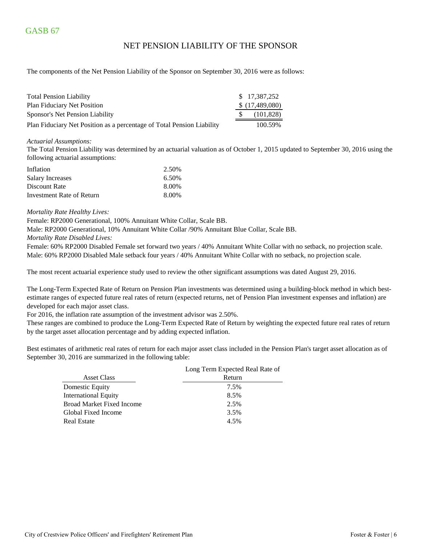### NET PENSION LIABILITY OF THE SPONSOR

The components of the Net Pension Liability of the Sponsor on September 30, 2016 were as follows:

| <b>Total Pension Liability</b>                                         | \$17.387.252   |
|------------------------------------------------------------------------|----------------|
| <b>Plan Fiduciary Net Position</b>                                     | \$(17,489,080) |
| Sponsor's Net Pension Liability                                        | (101, 828)     |
| Plan Fiduciary Net Position as a percentage of Total Pension Liability | 100.59%        |

#### *Actuarial Assumptions:*

The Total Pension Liability was determined by an actuarial valuation as of October 1, 2015 updated to September 30, 2016 using the following actuarial assumptions:

| Inflation                 | 2.50% |
|---------------------------|-------|
| <b>Salary Increases</b>   | 6.50% |
| Discount Rate             | 8.00% |
| Investment Rate of Return | 8.00% |

#### *Mortality Rate Healthy Lives:*

Female: RP2000 Generational, 100% Annuitant White Collar, Scale BB.

Male: RP2000 Generational, 10% Annuitant White Collar /90% Annuitant Blue Collar, Scale BB.

*Mortality Rate Disabled Lives:*

Female: 60% RP2000 Disabled Female set forward two years / 40% Annuitant White Collar with no setback, no projection scale. Male: 60% RP2000 Disabled Male setback four years / 40% Annuitant White Collar with no setback, no projection scale.

The most recent actuarial experience study used to review the other significant assumptions was dated August 29, 2016.

The Long-Term Expected Rate of Return on Pension Plan investments was determined using a building-block method in which bestestimate ranges of expected future real rates of return (expected returns, net of Pension Plan investment expenses and inflation) are developed for each major asset class.

For 2016, the inflation rate assumption of the investment advisor was 2.50%.

These ranges are combined to produce the Long-Term Expected Rate of Return by weighting the expected future real rates of return by the target asset allocation percentage and by adding expected inflation.

Best estimates of arithmetic real rates of return for each major asset class included in the Pension Plan's target asset allocation as of September 30, 2016 are summarized in the following table:

|                                  | Long Term Expected Real Rate of |
|----------------------------------|---------------------------------|
| <b>Asset Class</b>               | Return                          |
| Domestic Equity                  | 7.5%                            |
| <b>International Equity</b>      | 8.5%                            |
| <b>Broad Market Fixed Income</b> | 2.5%                            |
| Global Fixed Income              | 3.5%                            |
| <b>Real Estate</b>               | 4.5%                            |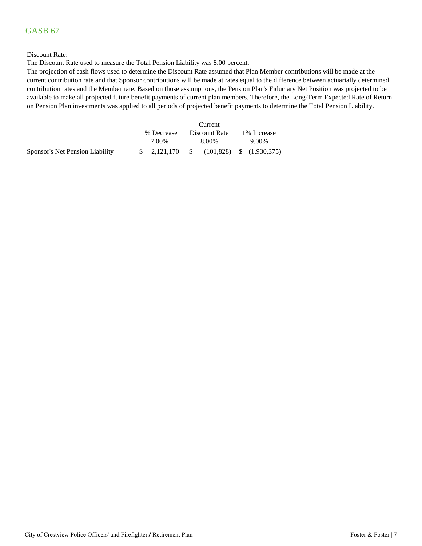# GASB 67

#### Discount Rate:

The Discount Rate used to measure the Total Pension Liability was 8.00 percent.

The projection of cash flows used to determine the Discount Rate assumed that Plan Member contributions will be made at the current contribution rate and that Sponsor contributions will be made at rates equal to the difference between actuarially determined contribution rates and the Member rate. Based on those assumptions, the Pension Plan's Fiduciary Net Position was projected to be available to make all projected future benefit payments of current plan members. Therefore, the Long-Term Expected Rate of Return on Pension Plan investments was applied to all periods of projected benefit payments to determine the Total Pension Liability.

|                                 |  |                                       |  | Current                |  |                       |  |
|---------------------------------|--|---------------------------------------|--|------------------------|--|-----------------------|--|
|                                 |  | 1\% Decrease<br>7.00%                 |  | Discount Rate<br>8.00% |  | 1\% Increase<br>9.00% |  |
| Sponsor's Net Pension Liability |  | $$2,121,170$ $$6101,828$ $$1,930,375$ |  |                        |  |                       |  |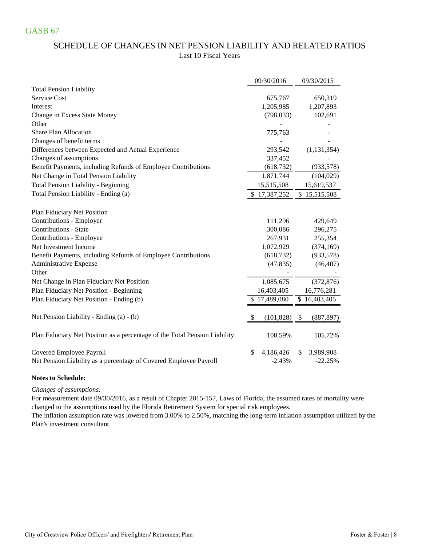# SCHEDULE OF CHANGES IN NET PENSION LIABILITY AND RELATED RATIOS Last 10 Fiscal Years

|                                                                            | 09/30/2016       | 09/30/2015       |
|----------------------------------------------------------------------------|------------------|------------------|
| <b>Total Pension Liability</b>                                             |                  |                  |
| Service Cost                                                               | 675,767          | 650,319          |
| Interest                                                                   | 1,205,985        | 1,207,893        |
| Change in Excess State Money                                               | (798, 033)       | 102,691          |
| Other                                                                      |                  |                  |
| <b>Share Plan Allocation</b>                                               | 775,763          |                  |
| Changes of benefit terms                                                   |                  |                  |
| Differences between Expected and Actual Experience                         | 293,542          | (1, 131, 354)    |
| Changes of assumptions                                                     | 337,452          |                  |
| Benefit Payments, including Refunds of Employee Contributions              | (618, 732)       | (933, 578)       |
| Net Change in Total Pension Liability                                      | 1,871,744        | (104, 029)       |
| <b>Total Pension Liability - Beginning</b>                                 | 15,515,508       | 15,619,537       |
| Total Pension Liability - Ending (a)                                       | \$17,387,252     | \$15,515,508     |
|                                                                            |                  |                  |
| Plan Fiduciary Net Position                                                |                  |                  |
| Contributions - Employer<br><b>Contributions - State</b>                   | 111,296          | 429,649          |
|                                                                            | 300,086          | 296,275          |
| Contributions - Employee                                                   | 267,931          | 255,354          |
| Net Investment Income                                                      | 1,072,929        | (374, 169)       |
| Benefit Payments, including Refunds of Employee Contributions              | (618, 732)       | (933, 578)       |
| Administrative Expense<br>Other                                            | (47, 835)        | (46, 407)        |
| Net Change in Plan Fiduciary Net Position                                  | 1,085,675        | (372, 876)       |
| Plan Fiduciary Net Position - Beginning                                    | 16,403,405       | 16,776,281       |
| Plan Fiduciary Net Position - Ending (b)                                   | \$17,489,080     | \$16,403,405     |
| Net Pension Liability - Ending (a) - (b)                                   | (101, 828)<br>\$ | (887, 897)<br>\$ |
| Plan Fiduciary Net Position as a percentage of the Total Pension Liability | 100.59%          | 105.72%          |
| Covered Employee Payroll                                                   | \$<br>4,186,426  | 3,989,908<br>\$  |
| Net Pension Liability as a percentage of Covered Employee Payroll          | $-2.43%$         | $-22.25%$        |

### **Notes to Schedule:**

#### *Changes of assumptions:*

For measurement date 09/30/2016, as a result of Chapter 2015-157, Laws of Florida, the assumed rates of mortality were changed to the assumptions used by the Florida Retirement System for special risk employees.

Plan's investment consultant. The inflation assumption rate was lowered from 3.00% to 2.50%, matching the long-term inflation assumption utilized by the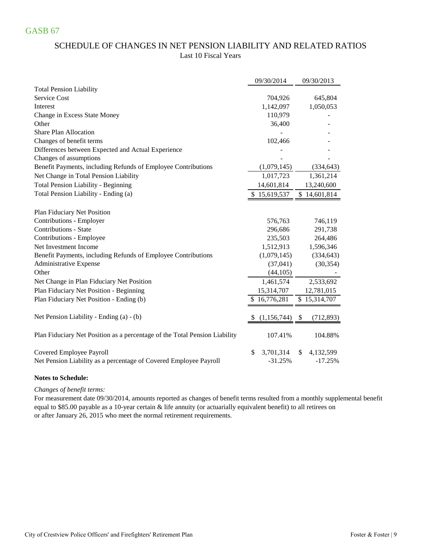# SCHEDULE OF CHANGES IN NET PENSION LIABILITY AND RELATED RATIOS Last 10 Fiscal Years

|                                                                            | 09/30/2014          | 09/30/2013                              |
|----------------------------------------------------------------------------|---------------------|-----------------------------------------|
| <b>Total Pension Liability</b>                                             |                     |                                         |
| Service Cost                                                               | 704,926             | 645,804                                 |
| Interest                                                                   | 1,142,097           | 1,050,053                               |
| Change in Excess State Money                                               | 110,979             |                                         |
| Other                                                                      | 36,400              |                                         |
| <b>Share Plan Allocation</b>                                               |                     |                                         |
| Changes of benefit terms                                                   | 102,466             |                                         |
| Differences between Expected and Actual Experience                         |                     |                                         |
| Changes of assumptions                                                     |                     |                                         |
| Benefit Payments, including Refunds of Employee Contributions              | (1,079,145)         | (334, 643)                              |
| Net Change in Total Pension Liability                                      | 1,017,723           | 1,361,214                               |
| <b>Total Pension Liability - Beginning</b>                                 | 14,601,814          | 13,240,600                              |
| Total Pension Liability - Ending (a)                                       | 15,619,537          | \$14,601,814                            |
|                                                                            |                     |                                         |
| Plan Fiduciary Net Position                                                |                     |                                         |
| Contributions - Employer                                                   | 576,763             | 746,119                                 |
| <b>Contributions - State</b>                                               | 296,686             | 291,738                                 |
| Contributions - Employee                                                   | 235,503             | 264,486                                 |
| Net Investment Income                                                      | 1,512,913           | 1,596,346                               |
| Benefit Payments, including Refunds of Employee Contributions              | (1,079,145)         | (334, 643)                              |
| Administrative Expense                                                     | (37,041)            | (30, 354)                               |
| Other                                                                      | (44, 105)           |                                         |
| Net Change in Plan Fiduciary Net Position                                  | 1,461,574           | 2,533,692                               |
| Plan Fiduciary Net Position - Beginning                                    | 15,314,707          | 12,781,015                              |
| Plan Fiduciary Net Position - Ending (b)                                   | \$16,776,281        | \$15,314,707                            |
| Net Pension Liability - Ending (a) - (b)                                   | (1, 156, 744)<br>S. | $\boldsymbol{\mathsf{S}}$<br>(712, 893) |
| Plan Fiduciary Net Position as a percentage of the Total Pension Liability | 107.41%             | 104.88%                                 |
|                                                                            |                     |                                         |
| Covered Employee Payroll                                                   | 3,701,314<br>\$     | \$<br>4,132,599                         |
| Net Pension Liability as a percentage of Covered Employee Payroll          | $-31.25%$           | $-17.25%$                               |

### **Notes to Schedule:**

#### *Changes of benefit terms:*

or after January 26, 2015 who meet the normal retirement requirements. For measurement date 09/30/2014, amounts reported as changes of benefit terms resulted from a monthly supplemental benefit equal to \$85.00 payable as a 10-year certain & life annuity (or actuarially equivalent benefit) to all retirees on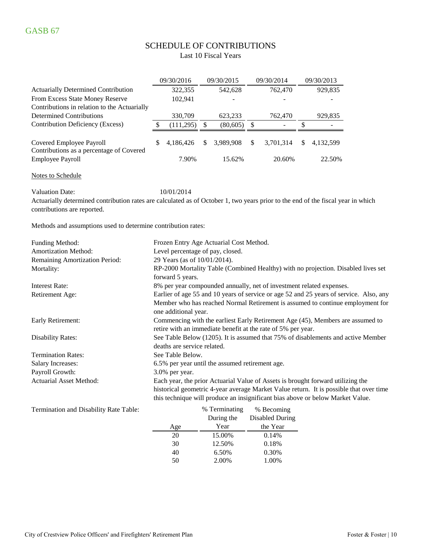# SCHEDULE OF CONTRIBUTIONS

Last 10 Fiscal Years

|                                                                                 |   | 09/30/2016 |     | 09/30/2015 |     | 09/30/2014               |    | 09/30/2013 |
|---------------------------------------------------------------------------------|---|------------|-----|------------|-----|--------------------------|----|------------|
| <b>Actuarially Determined Contribution</b>                                      |   | 322,355    |     | 542,628    |     | 762,470                  |    | 929,835    |
| From Excess State Money Reserve<br>Contributions in relation to the Actuarially |   | 102,941    |     |            |     |                          |    |            |
| <b>Determined Contributions</b>                                                 |   | 330,709    |     | 623,233    |     | 762,470                  |    | 929,835    |
| <b>Contribution Deficiency (Excess)</b>                                         |   | (111, 295) | \$. | (80,605)   |     | $\overline{\phantom{a}}$ |    |            |
| Covered Employee Payroll<br>Contributions as a percentage of Covered            | S | 4.186.426  | S   | 3.989.908  | \$. | 3,701,314                | S. | 4,132,599  |
| <b>Employee Payroll</b>                                                         |   | 7.90%      |     | 15.62%     |     | 20.60%                   |    | 22.50%     |

Notes to Schedule

Valuation Date:  $10/01/2014$ 

Actuarially determined contribution rates are calculated as of October 1, two years prior to the end of the fiscal year in which contributions are reported.

Methods and assumptions used to determine contribution rates:

| Funding Method:                | Frozen Entry Age Actuarial Cost Method.                                                                                                        |
|--------------------------------|------------------------------------------------------------------------------------------------------------------------------------------------|
| <b>Amortization Method:</b>    | Level percentage of pay, closed.                                                                                                               |
| Remaining Amortization Period: | 29 Years (as of 10/01/2014).                                                                                                                   |
| Mortality:                     | RP-2000 Mortality Table (Combined Healthy) with no projection. Disabled lives set                                                              |
|                                | forward 5 years.                                                                                                                               |
| Interest Rate:                 | 8% per year compounded annually, net of investment related expenses.                                                                           |
| Retirement Age:                | Earlier of age 55 and 10 years of service or age 52 and 25 years of service. Also, any                                                         |
|                                | Member who has reached Normal Retirement is assumed to continue employment for<br>one additional year.                                         |
| Early Retirement:              | Commencing with the earliest Early Retirement Age (45), Members are assumed to<br>retire with an immediate benefit at the rate of 5% per year. |
| <b>Disability Rates:</b>       | See Table Below (1205). It is assumed that 75% of disablements and active Member<br>deaths are service related.                                |
| <b>Termination Rates:</b>      | See Table Below.                                                                                                                               |
| <b>Salary Increases:</b>       | 6.5% per year until the assumed retirement age.                                                                                                |
| Payroll Growth:                | $3.0\%$ per year.                                                                                                                              |
| <b>Actuarial Asset Method:</b> | Each year, the prior Actuarial Value of Assets is brought forward utilizing the                                                                |
|                                | historical geometric 4-year average Market Value return. It is possible that over time                                                         |
|                                | this technique will produce an insignificant bias above or below Market Value.                                                                 |

Termination and Disability Rate Table:

|     | % Terminating | % Becoming             |
|-----|---------------|------------------------|
|     | During the    | <b>Disabled During</b> |
| Age | Year          | the Year               |
| 20  | 15.00%        | 0.14%                  |
| 30  | 12.50%        | 0.18%                  |
| 40  | 6.50%         | 0.30%                  |
| 50  | 2.00%         | 1.00%                  |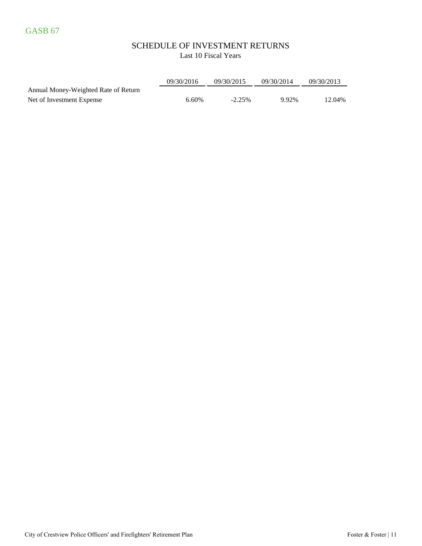### SCHEDULE OF INVESTMENT RETURNS Last 10 Fiscal Years

|                                      | 09/30/2016 | 09/30/2015 | 09/30/2014 | 09/30/2013 |
|--------------------------------------|------------|------------|------------|------------|
| Annual Money-Weighted Rate of Return |            |            |            |            |
| Net of Investment Expense            | 6.60%      | $-2.25\%$  | 9.92%      | 12.04%     |

City of Crestview Police Officers' and Firefighters' Retirement Plan Foster & Foster | 11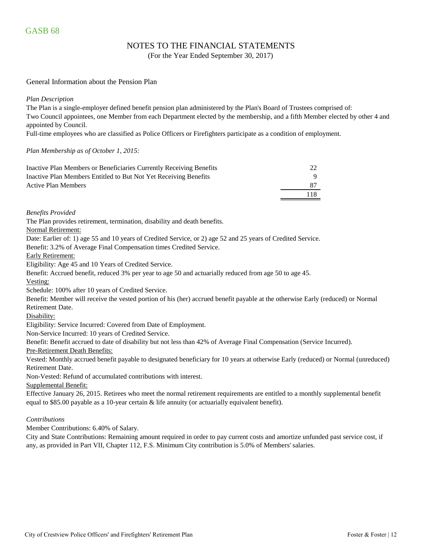### NOTES TO THE FINANCIAL STATEMENTS

(For the Year Ended September 30, 2017)

#### General Information about the Pension Plan

*Plan Description*

The Plan is a single-employer defined benefit pension plan administered by the Plan's Board of Trustees comprised of: Two Council appointees, one Member from each Department elected by the membership, and a fifth Member elected by other 4 and appointed by Council.

Full-time employees who are classified as Police Officers or Firefighters participate as a condition of employment.

#### *Plan Membership as of October 1, 2015:*

| Inactive Plan Members or Beneficiaries Currently Receiving Benefits | 22  |
|---------------------------------------------------------------------|-----|
| Inactive Plan Members Entitled to But Not Yet Receiving Benefits    |     |
| <b>Active Plan Members</b>                                          | 87  |
|                                                                     | 118 |

*Benefits Provided*

The Plan provides retirement, termination, disability and death benefits.

Normal Retirement:

Date: Earlier of: 1) age 55 and 10 years of Credited Service, or 2) age 52 and 25 years of Credited Service.

Benefit: 3.2% of Average Final Compensation times Credited Service.

Early Retirement:

Eligibility: Age 45 and 10 Years of Credited Service.

Benefit: Accrued benefit, reduced 3% per year to age 50 and actuarially reduced from age 50 to age 45.

Vesting:

Schedule: 100% after 10 years of Credited Service.

Benefit: Member will receive the vested portion of his (her) accrued benefit payable at the otherwise Early (reduced) or Normal Retirement Date.

Disability:

Eligibility: Service Incurred: Covered from Date of Employment.

Non-Service Incurred: 10 years of Credited Service.

Benefit: Benefit accrued to date of disability but not less than 42% of Average Final Compensation (Service Incurred).

#### Pre-Retirement Death Benefits:

Vested: Monthly accrued benefit payable to designated beneficiary for 10 years at otherwise Early (reduced) or Normal (unreduced) Retirement Date.

Non-Vested: Refund of accumulated contributions with interest.

Supplemental Benefit:

Effective January 26, 2015. Retirees who meet the normal retirement requirements are entitled to a monthly supplemental benefit equal to \$85.00 payable as a 10-year certain & life annuity (or actuarially equivalent benefit).

#### *Contributions*

Member Contributions: 6.40% of Salary.

City and State Contributions: Remaining amount required in order to pay current costs and amortize unfunded past service cost, if any, as provided in Part VII, Chapter 112, F.S. Minimum City contribution is 5.0% of Members' salaries.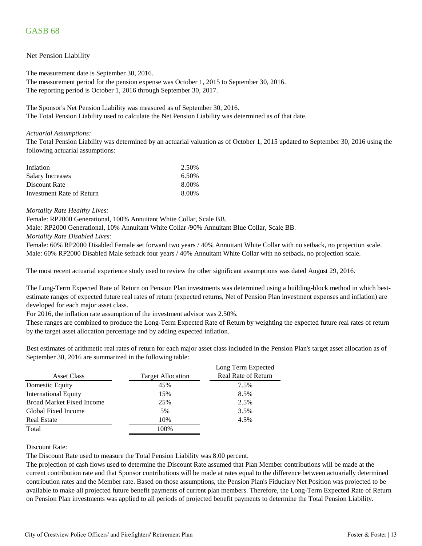# GASB 68

#### Net Pension Liability

The measurement date is September 30, 2016. The measurement period for the pension expense was October 1, 2015 to September 30, 2016. The reporting period is October 1, 2016 through September 30, 2017.

The Sponsor's Net Pension Liability was measured as of September 30, 2016. The Total Pension Liability used to calculate the Net Pension Liability was determined as of that date.

#### *Actuarial Assumptions:*

The Total Pension Liability was determined by an actuarial valuation as of October 1, 2015 updated to September 30, 2016 using the following actuarial assumptions:

| Inflation                 | 2.50% |
|---------------------------|-------|
| Salary Increases          | 6.50% |
| Discount Rate             | 8.00% |
| Investment Rate of Return | 8.00% |

#### *Mortality Rate Healthy Lives:*

Female: RP2000 Generational, 100% Annuitant White Collar, Scale BB.

Male: RP2000 Generational, 10% Annuitant White Collar /90% Annuitant Blue Collar, Scale BB.

#### *Mortality Rate Disabled Lives:*

Female: 60% RP2000 Disabled Female set forward two years / 40% Annuitant White Collar with no setback, no projection scale. Male: 60% RP2000 Disabled Male setback four years / 40% Annuitant White Collar with no setback, no projection scale.

The most recent actuarial experience study used to review the other significant assumptions was dated August 29, 2016.

The Long-Term Expected Rate of Return on Pension Plan investments was determined using a building-block method in which bestestimate ranges of expected future real rates of return (expected returns, Net of Pension Plan investment expenses and inflation) are developed for each major asset class.

For 2016, the inflation rate assumption of the investment advisor was 2.50%.

These ranges are combined to produce the Long-Term Expected Rate of Return by weighting the expected future real rates of return by the target asset allocation percentage and by adding expected inflation.

Best estimates of arithmetic real rates of return for each major asset class included in the Pension Plan's target asset allocation as of September 30, 2016 are summarized in the following table:

|                                  |                          | Long Term Expected         |
|----------------------------------|--------------------------|----------------------------|
| <b>Asset Class</b>               | <b>Target Allocation</b> | <b>Real Rate of Return</b> |
| Domestic Equity                  | 45%                      | 7.5%                       |
| <b>International Equity</b>      | 15%                      | 8.5%                       |
| <b>Broad Market Fixed Income</b> | 25%                      | 2.5%                       |
| Global Fixed Income              | 5%                       | 3.5%                       |
| <b>Real Estate</b>               | 10%                      | 4.5%                       |
| Total                            | 100%                     |                            |

#### Discount Rate:

The Discount Rate used to measure the Total Pension Liability was 8.00 percent.

The projection of cash flows used to determine the Discount Rate assumed that Plan Member contributions will be made at the current contribution rate and that Sponsor contributions will be made at rates equal to the difference between actuarially determined contribution rates and the Member rate. Based on those assumptions, the Pension Plan's Fiduciary Net Position was projected to be available to make all projected future benefit payments of current plan members. Therefore, the Long-Term Expected Rate of Return on Pension Plan investments was applied to all periods of projected benefit payments to determine the Total Pension Liability.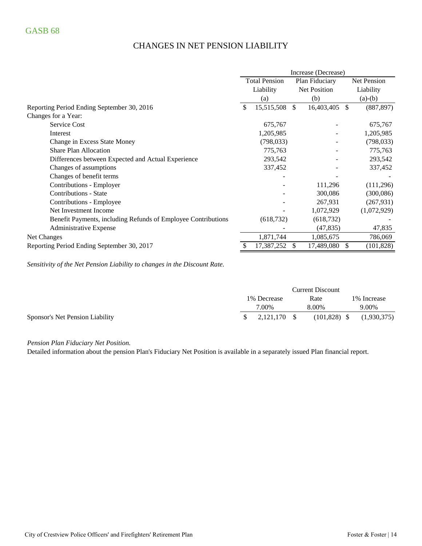# CHANGES IN NET PENSION LIABILITY

|                                                               | Increase (Decrease)                    |            |              |             |    |             |
|---------------------------------------------------------------|----------------------------------------|------------|--------------|-------------|----|-------------|
|                                                               | <b>Total Pension</b><br>Plan Fiduciary |            |              | Net Pension |    |             |
|                                                               | Liability                              |            | Net Position |             |    | Liability   |
|                                                               |                                        | (a)        |              | (b)         |    | $(a)-(b)$   |
| Reporting Period Ending September 30, 2016                    |                                        | 15,515,508 | \$           | 16,403,405  | \$ | (887, 897)  |
| Changes for a Year:                                           |                                        |            |              |             |    |             |
| <b>Service Cost</b>                                           |                                        | 675,767    |              |             |    | 675,767     |
| Interest                                                      |                                        | 1,205,985  |              |             |    | 1,205,985   |
| Change in Excess State Money                                  |                                        | (798, 033) |              |             |    | (798, 033)  |
| <b>Share Plan Allocation</b>                                  |                                        | 775,763    |              |             |    | 775,763     |
| Differences between Expected and Actual Experience            |                                        | 293,542    |              |             |    | 293,542     |
| Changes of assumptions                                        |                                        | 337,452    |              |             |    | 337,452     |
| Changes of benefit terms                                      |                                        |            |              |             |    |             |
| Contributions - Employer                                      |                                        |            |              | 111,296     |    | (111,296)   |
| <b>Contributions - State</b>                                  |                                        |            |              | 300,086     |    | (300,086)   |
| Contributions - Employee                                      |                                        |            |              | 267,931     |    | (267, 931)  |
| Net Investment Income                                         |                                        |            |              | 1,072,929   |    | (1,072,929) |
| Benefit Payments, including Refunds of Employee Contributions |                                        | (618, 732) |              | (618, 732)  |    |             |
| Administrative Expense                                        |                                        |            |              | (47, 835)   |    | 47,835      |
| Net Changes                                                   |                                        | 1,871,744  |              | 1,085,675   |    | 786,069     |
| Reporting Period Ending September 30, 2017                    |                                        | 17,387,252 | \$.          | 17,489,080  | S  | (101, 828)  |

*Sensitivity of the Net Pension Liability to changes in the Discount Rate.*

|                                 | <b>Current Discount</b> |              |      |                |              |             |
|---------------------------------|-------------------------|--------------|------|----------------|--------------|-------------|
|                                 | 1\% Decrease            |              | Rate |                | 1\% Increase |             |
|                                 |                         | 7.00%        |      | 8.00%          |              | 9.00%       |
| Sponsor's Net Pension Liability | S.                      | 2.121.170 \$ |      | $(101,828)$ \$ |              | (1,930,375) |

*Pension Plan Fiduciary Net Position.* 

Detailed information about the pension Plan's Fiduciary Net Position is available in a separately issued Plan financial report.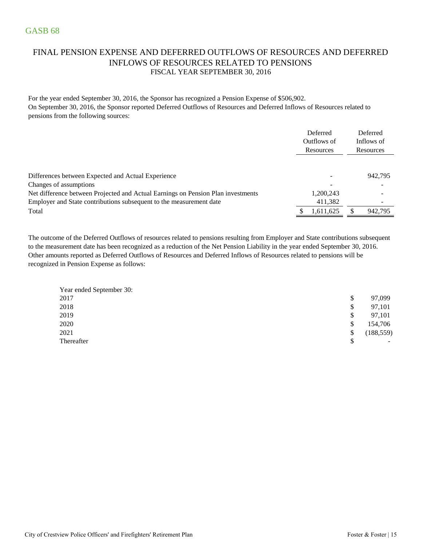# FINAL PENSION EXPENSE AND DEFERRED OUTFLOWS OF RESOURCES AND DEFERRED INFLOWS OF RESOURCES RELATED TO PENSIONS FISCAL YEAR SEPTEMBER 30, 2016

For the year ended September 30, 2016, the Sponsor has recognized a Pension Expense of \$506,902. On September 30, 2016, the Sponsor reported Deferred Outflows of Resources and Deferred Inflows of Resources related to pensions from the following sources:

|                                                                                  | Deferred<br>Outflows of<br>Resources | Deferred<br>Inflows of<br>Resources |
|----------------------------------------------------------------------------------|--------------------------------------|-------------------------------------|
|                                                                                  |                                      | 942,795                             |
| Differences between Expected and Actual Experience<br>Changes of assumptions     |                                      |                                     |
| Net difference between Projected and Actual Earnings on Pension Plan investments | 1,200,243                            |                                     |
| Employer and State contributions subsequent to the measurement date              | 411,382                              |                                     |
| Total                                                                            | 1,611,625                            | 942,795                             |

The outcome of the Deferred Outflows of resources related to pensions resulting from Employer and State contributions subsequent to the measurement date has been recognized as a reduction of the Net Pension Liability in the year ended September 30, 2016. Other amounts reported as Deferred Outflows of Resources and Deferred Inflows of Resources related to pensions will be recognized in Pension Expense as follows:

| Year ended September 30: |                                |
|--------------------------|--------------------------------|
| 2017                     | \$<br>97,099                   |
| 2018                     | \$<br>97,101                   |
| 2019                     | \$<br>97,101                   |
| 2020                     | \$<br>154,706                  |
| 2021                     | \$<br>(188, 559)               |
| Thereafter               | \$<br>$\overline{\phantom{a}}$ |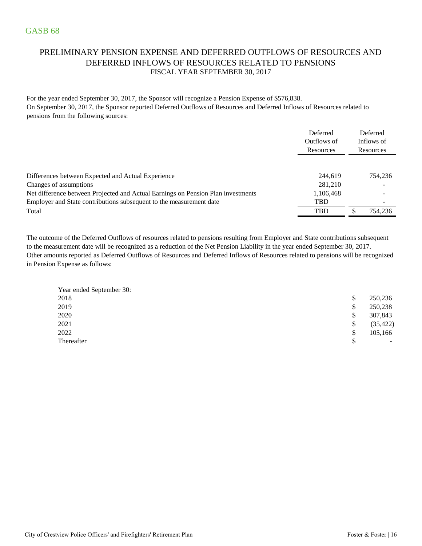### PRELIMINARY PENSION EXPENSE AND DEFERRED OUTFLOWS OF RESOURCES AND DEFERRED INFLOWS OF RESOURCES RELATED TO PENSIONS FISCAL YEAR SEPTEMBER 30, 2017

For the year ended September 30, 2017, the Sponsor will recognize a Pension Expense of \$576,838. On September 30, 2017, the Sponsor reported Deferred Outflows of Resources and Deferred Inflows of Resources related to pensions from the following sources:

|                                                                                  | Deferred<br>Outflows of<br>Resources |   | Deferred<br>Inflows of<br>Resources |
|----------------------------------------------------------------------------------|--------------------------------------|---|-------------------------------------|
| Differences between Expected and Actual Experience                               | 244.619                              |   | 754.236                             |
| Changes of assumptions                                                           | 281.210                              |   | $\overline{\phantom{a}}$            |
| Net difference between Projected and Actual Earnings on Pension Plan investments | 1,106,468                            |   |                                     |
| Employer and State contributions subsequent to the measurement date              | <b>TBD</b>                           |   |                                     |
| Total                                                                            | <b>TBD</b>                           | S | 754,236                             |

Other amounts reported as Deferred Outflows of Resources and Deferred Inflows of Resources related to pensions will be recognized in Pension Expense as follows: The outcome of the Deferred Outflows of resources related to pensions resulting from Employer and State contributions subsequent to the measurement date will be recognized as a reduction of the Net Pension Liability in the year ended September 30, 2017.

| Year ended September 30: |                 |
|--------------------------|-----------------|
| 2018                     | \$<br>250,236   |
| 2019                     | \$<br>250,238   |
| 2020                     | \$<br>307,843   |
| 2021                     | \$<br>(35, 422) |
| 2022                     | \$<br>105,166   |
| Thereafter               | \$<br>$\sim$    |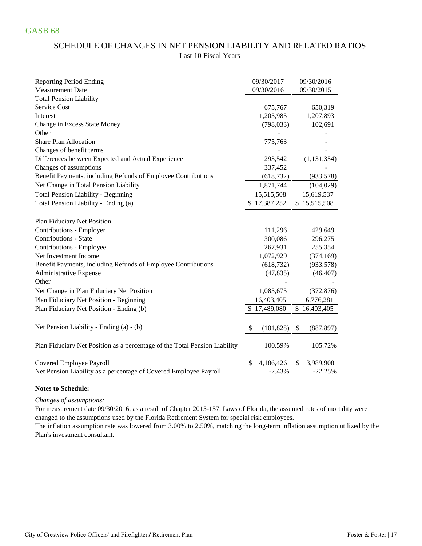# SCHEDULE OF CHANGES IN NET PENSION LIABILITY AND RELATED RATIOS Last 10 Fiscal Years

| <b>Reporting Period Ending</b>                                             | 09/30/2017      | 09/30/2016       |
|----------------------------------------------------------------------------|-----------------|------------------|
| <b>Measurement Date</b>                                                    | 09/30/2016      | 09/30/2015       |
| <b>Total Pension Liability</b>                                             |                 |                  |
| Service Cost                                                               | 675,767         | 650,319          |
| Interest                                                                   | 1,205,985       | 1,207,893        |
| Change in Excess State Money                                               | (798, 033)      | 102,691          |
| Other                                                                      |                 |                  |
| <b>Share Plan Allocation</b>                                               | 775,763         |                  |
| Changes of benefit terms                                                   |                 |                  |
| Differences between Expected and Actual Experience                         | 293,542         | (1, 131, 354)    |
| Changes of assumptions                                                     | 337,452         |                  |
| Benefit Payments, including Refunds of Employee Contributions              | (618, 732)      | (933, 578)       |
| Net Change in Total Pension Liability                                      | 1,871,744       | (104, 029)       |
| <b>Total Pension Liability - Beginning</b>                                 | 15,515,508      | 15,619,537       |
| Total Pension Liability - Ending (a)                                       | \$17,387,252    | \$15,515,508     |
|                                                                            |                 |                  |
| Plan Fiduciary Net Position                                                |                 |                  |
| Contributions - Employer                                                   | 111,296         | 429,649          |
| Contributions - State                                                      | 300,086         | 296,275          |
| Contributions - Employee                                                   | 267,931         | 255,354          |
| Net Investment Income                                                      | 1,072,929       | (374, 169)       |
| Benefit Payments, including Refunds of Employee Contributions              | (618, 732)      | (933, 578)       |
| Administrative Expense                                                     | (47, 835)       | (46, 407)        |
| Other                                                                      |                 |                  |
| Net Change in Plan Fiduciary Net Position                                  | 1,085,675       | (372, 876)       |
| Plan Fiduciary Net Position - Beginning                                    | 16,403,405      | 16,776,281       |
| Plan Fiduciary Net Position - Ending (b)                                   | 17,489,080      | \$16,403,405     |
|                                                                            |                 |                  |
| Net Pension Liability - Ending (a) - (b)                                   | (101, 828)      | (887, 897)<br>\$ |
| Plan Fiduciary Net Position as a percentage of the Total Pension Liability | 100.59%         | 105.72%          |
| Covered Employee Payroll                                                   | \$<br>4,186,426 | 3,989,908<br>\$  |
| Net Pension Liability as a percentage of Covered Employee Payroll          | $-2.43%$        | $-22.25%$        |

#### **Notes to Schedule:**

#### *Changes of assumptions:*

For measurement date 09/30/2016, as a result of Chapter 2015-157, Laws of Florida, the assumed rates of mortality were changed to the assumptions used by the Florida Retirement System for special risk employees.

Plan's investment consultant. The inflation assumption rate was lowered from 3.00% to 2.50%, matching the long-term inflation assumption utilized by the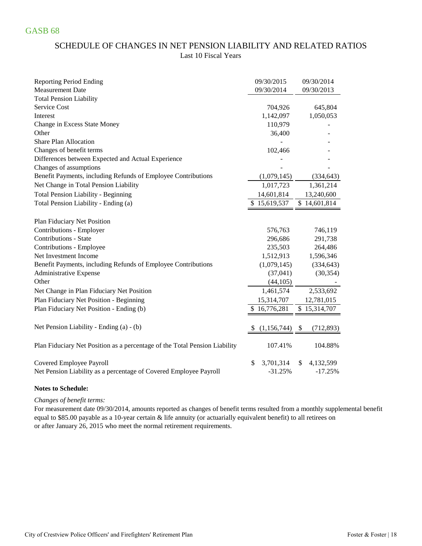# SCHEDULE OF CHANGES IN NET PENSION LIABILITY AND RELATED RATIOS Last 10 Fiscal Years

| <b>Reporting Period Ending</b>                                             | 09/30/2015   | 09/30/2014               |
|----------------------------------------------------------------------------|--------------|--------------------------|
| <b>Measurement Date</b>                                                    | 09/30/2014   | 09/30/2013               |
| <b>Total Pension Liability</b>                                             |              |                          |
| Service Cost                                                               | 704,926      | 645,804                  |
| Interest                                                                   | 1,142,097    | 1,050,053                |
| Change in Excess State Money                                               | 110,979      |                          |
| Other                                                                      | 36,400       |                          |
| <b>Share Plan Allocation</b>                                               |              |                          |
| Changes of benefit terms                                                   | 102,466      |                          |
| Differences between Expected and Actual Experience                         |              |                          |
| Changes of assumptions                                                     |              |                          |
| Benefit Payments, including Refunds of Employee Contributions              | (1,079,145)  | (334, 643)               |
| Net Change in Total Pension Liability                                      | 1,017,723    | 1,361,214                |
| <b>Total Pension Liability - Beginning</b>                                 | 14,601,814   | 13,240,600               |
| Total Pension Liability - Ending (a)                                       | \$15,619,537 | \$14,601,814             |
|                                                                            |              |                          |
| Plan Fiduciary Net Position                                                |              |                          |
| Contributions - Employer                                                   | 576,763      | 746,119                  |
| <b>Contributions - State</b>                                               | 296,686      | 291,738                  |
| Contributions - Employee                                                   | 235,503      | 264,486                  |
| Net Investment Income                                                      | 1,512,913    | 1,596,346                |
| Benefit Payments, including Refunds of Employee Contributions              | (1,079,145)  | (334, 643)               |
| Administrative Expense                                                     | (37, 041)    | (30, 354)                |
| Other                                                                      | (44,105)     |                          |
| Net Change in Plan Fiduciary Net Position                                  | 1,461,574    | 2,533,692                |
| Plan Fiduciary Net Position - Beginning                                    | 15,314,707   | 12,781,015               |
| Plan Fiduciary Net Position - Ending (b)                                   | \$16,776,281 | $\overline{$}15,314,707$ |
|                                                                            |              |                          |
| Net Pension Liability - Ending (a) - (b)                                   | (1,156,744)  | (712, 893)<br>S          |
|                                                                            |              |                          |
| Plan Fiduciary Net Position as a percentage of the Total Pension Liability | 107.41%      | 104.88%                  |
|                                                                            | 3,701,314    | \$                       |
| Covered Employee Payroll                                                   | \$           | 4,132,599                |
| Net Pension Liability as a percentage of Covered Employee Payroll          | $-31.25%$    | $-17.25%$                |

### **Notes to Schedule:**

#### *Changes of benefit terms:*

For measurement date 09/30/2014, amounts reported as changes of benefit terms resulted from a monthly supplemental benefit equal to \$85.00 payable as a 10-year certain & life annuity (or actuarially equivalent benefit) to all retirees on or after January 26, 2015 who meet the normal retirement requirements.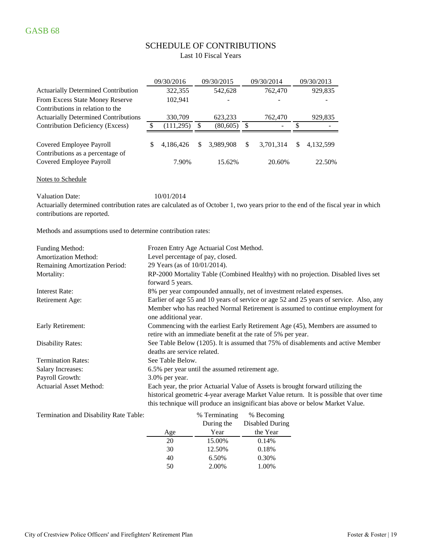# SCHEDULE OF CONTRIBUTIONS

|                                                                                 | 09/30/2016 | 09/30/2015 |               | 09/30/2014               |    | 09/30/2013 |
|---------------------------------------------------------------------------------|------------|------------|---------------|--------------------------|----|------------|
| <b>Actuarially Determined Contribution</b>                                      | 322,355    | 542,628    |               | 762,470                  |    | 929,835    |
| From Excess State Money Reserve                                                 | 102,941    |            |               |                          |    |            |
| Contributions in relation to the<br><b>Actuarially Determined Contributions</b> | 330,709    | 623,233    |               | 762,470                  |    | 929,835    |
| Contribution Deficiency (Excess)                                                | (111,295)  | (80, 605)  | S             | $\overline{\phantom{a}}$ |    |            |
| Covered Employee Payroll<br>Contributions as a percentage of                    | 4.186.426  | 3.989.908  | <sup>\$</sup> | 3.701.314                | S. | 4.132.599  |
| Covered Employee Payroll                                                        | 7.90%      | 15.62%     |               | 20.60%                   |    | 22.50%     |

Notes to Schedule

Valuation Date:  $10/01/2014$ 

Actuarially determined contribution rates are calculated as of October 1, two years prior to the end of the fiscal year in which contributions are reported.

Methods and assumptions used to determine contribution rates:

| <b>Funding Method:</b>         | Frozen Entry Age Actuarial Cost Method.                                                                                                        |
|--------------------------------|------------------------------------------------------------------------------------------------------------------------------------------------|
| <b>Amortization Method:</b>    | Level percentage of pay, closed.                                                                                                               |
| Remaining Amortization Period: | 29 Years (as of 10/01/2014).                                                                                                                   |
| Mortality:                     | RP-2000 Mortality Table (Combined Healthy) with no projection. Disabled lives set<br>forward 5 years.                                          |
| Interest Rate:                 | 8% per year compounded annually, net of investment related expenses.                                                                           |
| Retirement Age:                | Earlier of age 55 and 10 years of service or age 52 and 25 years of service. Also, any                                                         |
|                                | Member who has reached Normal Retirement is assumed to continue employment for<br>one additional year.                                         |
| Early Retirement:              | Commencing with the earliest Early Retirement Age (45), Members are assumed to<br>retire with an immediate benefit at the rate of 5% per year. |
| <b>Disability Rates:</b>       | See Table Below (1205). It is assumed that 75% of disablements and active Member<br>deaths are service related.                                |
| <b>Termination Rates:</b>      | See Table Below.                                                                                                                               |
| Salary Increases:              | 6.5% per year until the assumed retirement age.                                                                                                |
| Payroll Growth:                | $3.0\%$ per year.                                                                                                                              |
| <b>Actuarial Asset Method:</b> | Each year, the prior Actuarial Value of Assets is brought forward utilizing the                                                                |
|                                | historical geometric 4-year average Market Value return. It is possible that over time                                                         |
|                                | this technique will produce an insignificant bias above or below Market Value.                                                                 |

| Termination and Disability Rate Table: |     | % Terminating | % Becoming      |
|----------------------------------------|-----|---------------|-----------------|
|                                        |     | During the    | Disabled During |
|                                        | Age | Year          | the Year        |
|                                        | 20  | 15.00%        | 0.14%           |
|                                        | 30  | 12.50%        | 0.18%           |
|                                        | 40  | 6.50%         | 0.30%           |
|                                        | 50  | 2.00%         | 1.00%           |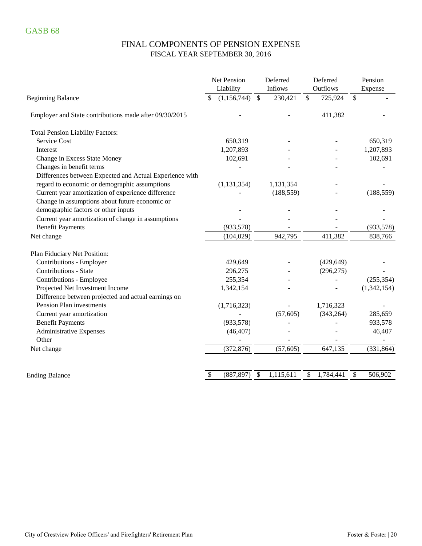# FINAL COMPONENTS OF PENSION EXPENSE FISCAL YEAR SEPTEMBER 30, 2016

|                                                         | Net Pension<br>Liability | Deferred<br>Inflows     | Deferred<br>Outflows                 | Pension<br>Expense |  |  |
|---------------------------------------------------------|--------------------------|-------------------------|--------------------------------------|--------------------|--|--|
| <b>Beginning Balance</b>                                | (1,156,744)<br>\$        | $\mathbb{S}$<br>230,421 | $\boldsymbol{\mathsf{S}}$<br>725,924 | $\mathbb{S}$       |  |  |
| Employer and State contributions made after 09/30/2015  |                          |                         | 411,382                              |                    |  |  |
| <b>Total Pension Liability Factors:</b>                 |                          |                         |                                      |                    |  |  |
| Service Cost                                            | 650,319                  |                         |                                      | 650,319            |  |  |
| Interest                                                | 1,207,893                |                         |                                      | 1,207,893          |  |  |
| Change in Excess State Money                            | 102,691                  |                         |                                      | 102,691            |  |  |
| Changes in benefit terms                                |                          |                         |                                      |                    |  |  |
| Differences between Expected and Actual Experience with |                          |                         |                                      |                    |  |  |
| regard to economic or demographic assumptions           | (1, 131, 354)            | 1,131,354               |                                      |                    |  |  |
| Current year amortization of experience difference      |                          | (188, 559)              |                                      | (188, 559)         |  |  |
| Change in assumptions about future economic or          |                          |                         |                                      |                    |  |  |
| demographic factors or other inputs                     |                          |                         |                                      |                    |  |  |
| Current year amortization of change in assumptions      |                          |                         |                                      |                    |  |  |
| <b>Benefit Payments</b>                                 | (933, 578)               |                         |                                      | (933, 578)         |  |  |
| Net change                                              | (104, 029)               | 942,795                 | 411,382                              | 838,766            |  |  |
| Plan Fiduciary Net Position:                            |                          |                         |                                      |                    |  |  |
| Contributions - Employer                                | 429,649                  |                         | (429, 649)                           |                    |  |  |
| <b>Contributions - State</b>                            | 296,275                  |                         | (296, 275)                           |                    |  |  |
| Contributions - Employee                                | 255,354                  |                         |                                      | (255, 354)         |  |  |
| Projected Net Investment Income                         | 1,342,154                |                         |                                      | (1,342,154)        |  |  |
| Difference between projected and actual earnings on     |                          |                         |                                      |                    |  |  |
| Pension Plan investments                                | (1,716,323)              |                         | 1,716,323                            |                    |  |  |
| Current year amortization                               |                          | (57, 605)               | (343, 264)                           | 285,659            |  |  |
| <b>Benefit Payments</b>                                 | (933, 578)               |                         |                                      | 933,578            |  |  |
| <b>Administrative Expenses</b>                          | (46, 407)                |                         |                                      | 46,407             |  |  |
| Other                                                   |                          |                         |                                      |                    |  |  |
| Net change                                              | (372, 876)               | (57, 605)               | 647,135                              | (331, 864)         |  |  |
| <b>Ending Balance</b>                                   | (887, 897)<br>\$         | 1,115,611<br>\$         | 1,784,441<br>\$                      | \$<br>506,902      |  |  |
|                                                         |                          |                         |                                      |                    |  |  |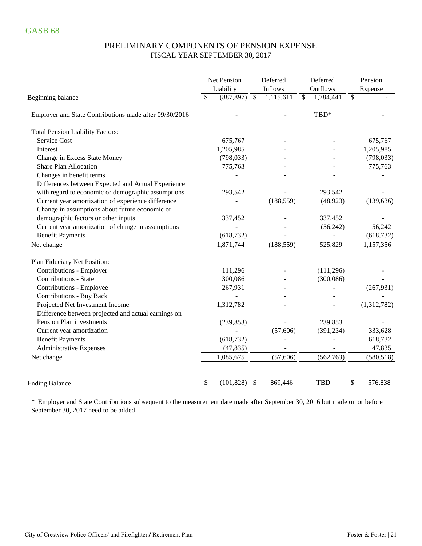### PRELIMINARY COMPONENTS OF PENSION EXPENSE FISCAL YEAR SEPTEMBER 30, 2017

|                                                        | Net Pension<br>Liability | Deferred<br>Inflows        | Deferred<br>Outflows       | Pension<br>Expense |
|--------------------------------------------------------|--------------------------|----------------------------|----------------------------|--------------------|
| Beginning balance                                      | (887, 897)<br>\$         | 1,115,611<br>$\mathcal{S}$ | $\mathcal{S}$<br>1,784,441 | \$                 |
| Employer and State Contributions made after 09/30/2016 |                          |                            | TBD*                       |                    |
| <b>Total Pension Liability Factors:</b>                |                          |                            |                            |                    |
| <b>Service Cost</b>                                    | 675,767                  |                            |                            | 675,767            |
| Interest                                               | 1,205,985                |                            |                            | 1,205,985          |
| Change in Excess State Money                           | (798, 033)               |                            |                            | (798, 033)         |
| <b>Share Plan Allocation</b>                           | 775,763                  |                            |                            | 775,763            |
| Changes in benefit terms                               |                          |                            |                            |                    |
| Differences between Expected and Actual Experience     |                          |                            |                            |                    |
| with regard to economic or demographic assumptions     | 293,542                  |                            | 293,542                    |                    |
| Current year amortization of experience difference     |                          | (188, 559)                 | (48, 923)                  | (139, 636)         |
| Change in assumptions about future economic or         |                          |                            |                            |                    |
| demographic factors or other inputs                    | 337,452                  |                            | 337,452                    |                    |
| Current year amortization of change in assumptions     |                          |                            | (56,242)                   | 56,242             |
| <b>Benefit Payments</b>                                | (618, 732)               |                            |                            | (618, 732)         |
| Net change                                             | 1,871,744                | (188, 559)                 | 525,829                    | 1,157,356          |
| Plan Fiduciary Net Position:                           |                          |                            |                            |                    |
| Contributions - Employer                               | 111,296                  |                            | (111, 296)                 |                    |
| <b>Contributions - State</b>                           | 300,086                  |                            | (300, 086)                 |                    |
| Contributions - Employee                               | 267,931                  |                            |                            | (267, 931)         |
| <b>Contributions - Buy Back</b>                        |                          |                            |                            |                    |
| Projected Net Investment Income                        | 1,312,782                |                            |                            | (1,312,782)        |
| Difference between projected and actual earnings on    |                          |                            |                            |                    |
| Pension Plan investments                               | (239, 853)               |                            | 239,853                    |                    |
| Current year amortization                              |                          | (57,606)                   | (391, 234)                 | 333,628            |
| <b>Benefit Payments</b>                                | (618, 732)               |                            |                            | 618,732            |
| <b>Administrative Expenses</b>                         | (47, 835)                |                            |                            | 47,835             |
| Net change                                             | 1,085,675                | (57, 606)                  | (562,763)                  | (580, 518)         |
|                                                        |                          |                            |                            |                    |
| <b>Ending Balance</b>                                  | \$<br>(101, 828)         | $\mathcal{S}$<br>869,446   | <b>TBD</b>                 | \$<br>576,838      |

\* Employer and State Contributions subsequent to the measurement date made after September 30, 2016 but made on or before September 30, 2017 need to be added.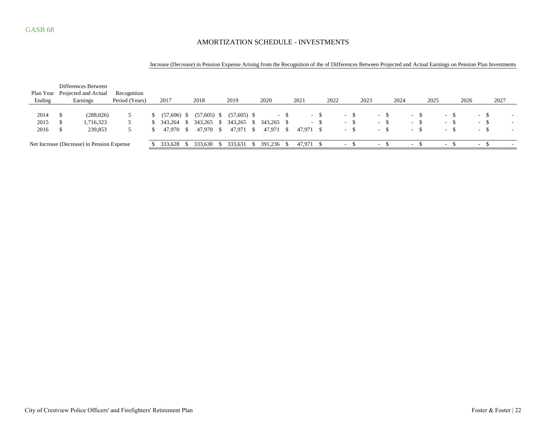### AMORTIZATION SCHEDULE - INVESTMENTS

|  | Increase (Decrease) in Pension Expense Arising from the Recognition of the of Differences Between Projected and Actual Earnings on Pension Plan Investments |
|--|-------------------------------------------------------------------------------------------------------------------------------------------------------------|
|  |                                                                                                                                                             |

|           |                                            | Differences Between  |                |  |               |    |               |      |               |      |            |     |           |     |      |        |     |        |       |      |        |      |        |    |      |        |      |                          |
|-----------|--------------------------------------------|----------------------|----------------|--|---------------|----|---------------|------|---------------|------|------------|-----|-----------|-----|------|--------|-----|--------|-------|------|--------|------|--------|----|------|--------|------|--------------------------|
| Plan Year |                                            | Projected and Actual | Recognition    |  |               |    |               |      |               |      |            |     |           |     |      |        |     |        |       |      |        |      |        |    |      |        |      |                          |
| Ending    |                                            | Earnings             | Period (Years) |  | 2017          |    | 2018          |      | 2019          |      | 2020       |     | 2021      |     | 2022 |        |     | 2023   |       | 2024 |        | 2025 |        |    | 2026 |        | 2027 |                          |
|           |                                            |                      |                |  |               |    |               |      |               |      |            |     |           |     |      |        |     |        |       |      |        |      |        |    |      |        |      |                          |
| 2014      |                                            | (288,026)            |                |  | $(57,606)$ \$ |    | $(57,605)$ \$ |      | $(57,605)$ \$ |      |            | - 8 |           | - 5 |      | - 5    |     | $\sim$ |       |      | $\sim$ |      |        |    |      | $- S$  |      | $\overline{\phantom{a}}$ |
| 2015      |                                            | 1,716,323            |                |  | 343.264       | -S | 343,265       | - \$ | 343,265       | - S  | 343,265 \$ |     |           | - 5 |      | $\sim$ | -SI |        | $-$ S |      | $-S$   |      | . .    | -S |      | $-$ \$ |      | $\overline{\phantom{a}}$ |
| 2016      |                                            | 239,853              |                |  | 47.970 \$     |    | 47,970 \$     |      | 47.971        | - \$ | 47,971 \$  |     | 47,971 \$ |     |      | $\sim$ |     | $\sim$ |       |      | $\sim$ | -S   | $\sim$ |    |      | $-$    | -S   | $\sim$                   |
|           |                                            |                      |                |  |               |    |               |      |               |      |            |     |           |     |      |        |     |        |       |      |        |      |        |    |      |        |      |                          |
|           | Net Increase (Decrease) in Pension Expense |                      |                |  | 333,628       |    | 333.630 \$    |      | 333.631       |      | 391,236 \$ |     | 47,971 \$ |     |      | $\sim$ |     | . .    |       |      | $\sim$ |      |        |    |      | $\sim$ |      |                          |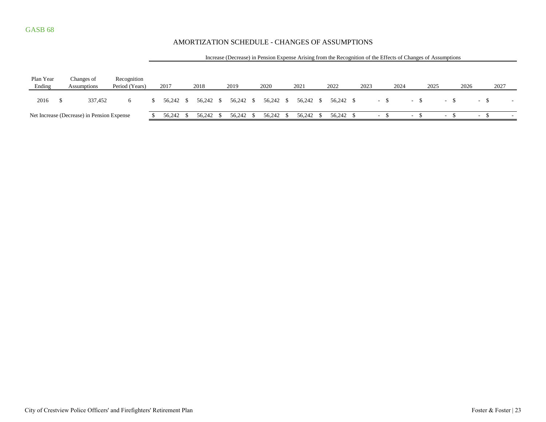### AMORTIZATION SCHEDULE - CHANGES OF ASSUMPTIONS

|                                            |                                  |         |                               |      | Increase (Decrease) in Pension Expense Arising from the Recognition of the Effects of Changes of Assumptions |      |           |  |           |  |           |  |           |  |           |  |                          |       |      |                          |      |                          |  |      |  |  |
|--------------------------------------------|----------------------------------|---------|-------------------------------|------|--------------------------------------------------------------------------------------------------------------|------|-----------|--|-----------|--|-----------|--|-----------|--|-----------|--|--------------------------|-------|------|--------------------------|------|--------------------------|--|------|--|--|
| Plan Year<br>Ending                        | Changes of<br><b>Assumptions</b> |         | Recognition<br>Period (Years) | 2017 |                                                                                                              | 2018 |           |  | 2019      |  | 2020      |  | 2021      |  | 2022      |  | 2023                     |       | 2024 |                          | 2025 | 2026                     |  | 2027 |  |  |
| 2016                                       |                                  | 337.452 | 6                             |      | 56.242 \$                                                                                                    |      | 56,242 \$ |  | 56,242 \$ |  | 56,242 \$ |  | 56,242 \$ |  | 56,242 \$ |  |                          | $-$ S |      | $-$ \$                   |      |                          |  |      |  |  |
| Net Increase (Decrease) in Pension Expense |                                  |         |                               |      | 56.242 \$                                                                                                    |      | 56,242    |  | 56,242 \$ |  | 56,242 \$ |  | 56,242 \$ |  | 56,242 \$ |  | $\overline{\phantom{0}}$ |       |      | $\overline{\phantom{a}}$ |      | $\overline{\phantom{a}}$ |  | - 5  |  |  |